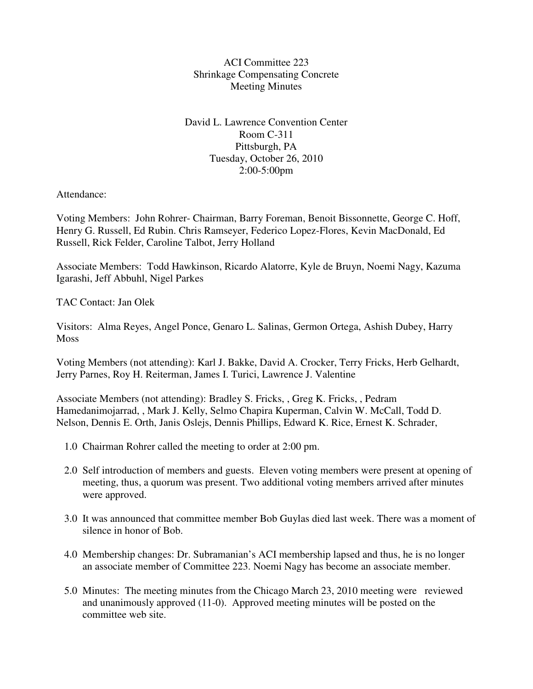ACI Committee 223 Shrinkage Compensating Concrete Meeting Minutes

David L. Lawrence Convention Center Room C-311 Pittsburgh, PA Tuesday, October 26, 2010 2:00-5:00pm

Attendance:

Voting Members: John Rohrer- Chairman, Barry Foreman, Benoit Bissonnette, George C. Hoff, Henry G. Russell, Ed Rubin. Chris Ramseyer, Federico Lopez-Flores, Kevin MacDonald, Ed Russell, Rick Felder, Caroline Talbot, Jerry Holland

Associate Members: Todd Hawkinson, Ricardo Alatorre, Kyle de Bruyn, Noemi Nagy, Kazuma Igarashi, Jeff Abbuhl, Nigel Parkes

TAC Contact: Jan Olek

Visitors: Alma Reyes, Angel Ponce, Genaro L. Salinas, Germon Ortega, Ashish Dubey, Harry Moss

Voting Members (not attending): Karl J. Bakke, David A. Crocker, Terry Fricks, Herb Gelhardt, Jerry Parnes, Roy H. Reiterman, James I. Turici, Lawrence J. Valentine

Associate Members (not attending): Bradley S. Fricks, , Greg K. Fricks, , Pedram Hamedanimojarrad, , Mark J. Kelly, Selmo Chapira Kuperman, Calvin W. McCall, Todd D. Nelson, Dennis E. Orth, Janis Oslejs, Dennis Phillips, Edward K. Rice, Ernest K. Schrader,

- 1.0 Chairman Rohrer called the meeting to order at 2:00 pm.
- 2.0 Self introduction of members and guests. Eleven voting members were present at opening of meeting, thus, a quorum was present. Two additional voting members arrived after minutes were approved.
- 3.0 It was announced that committee member Bob Guylas died last week. There was a moment of silence in honor of Bob.
- 4.0 Membership changes: Dr. Subramanian's ACI membership lapsed and thus, he is no longer an associate member of Committee 223. Noemi Nagy has become an associate member.
- 5.0 Minutes: The meeting minutes from the Chicago March 23, 2010 meeting were reviewed and unanimously approved (11-0). Approved meeting minutes will be posted on the committee web site.